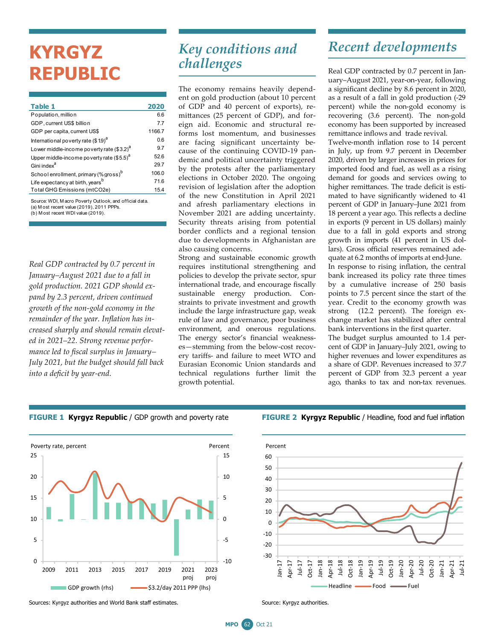# **KYRGYZ REPUBLIC**

| Table 1                                           | 2020   |
|---------------------------------------------------|--------|
| Population, million                               | 6.6    |
| GDP, current US\$ billion                         | 77     |
| GDP per capita, current US\$                      | 1166.7 |
| International poverty rate $($19)d$               | 0.6    |
| Lower middle-income poverty rate $(33.2)^d$       | 9.7    |
| Upper middle-income poverty rate $($5.5)^a$       | 52.6   |
| Gini index <sup>a</sup>                           | 29.7   |
| School enrollment, primary (% gross) <sup>b</sup> | 106.0  |
| Life expectancy at birth, years <sup>b</sup>      | 71.6   |
| Total GHG Emissions (mtCO2e)                      | 15.4   |

(b) M ost recent WDI value (2019). Source: WDI, M acro Poverty Outlook, and official data. (a) M ost recent value  $(2019)$ ,  $2011$  PPPs.

*Real GDP contracted by 0.7 percent in January–August 2021 due to a fall in gold production. 2021 GDP should expand by 2.3 percent, driven continued growth of the non-gold economy in the remainder of the year. Inflation has increased sharply and should remain elevated in 2021–22. Strong revenue performance led to fiscal surplus in January– July 2021, but the budget should fall back into a deficit by year-end.* 

### *Key conditions and challenges*

The economy remains heavily dependent on gold production (about 10 percent of GDP and 40 percent of exports), remittances (25 percent of GDP), and foreign aid. Economic and structural reforms lost momentum, and businesses are facing significant uncertainty because of the continuing COVID-19 pandemic and political uncertainty triggered by the protests after the parliamentary elections in October 2020. The ongoing revision of legislation after the adoption of the new Constitution in April 2021 and afresh parliamentary elections in November 2021 are adding uncertainty. Security threats arising from potential border conflicts and a regional tension due to developments in Afghanistan are also causing concerns.

Strong and sustainable economic growth requires institutional strengthening and policies to develop the private sector, spur international trade, and encourage fiscally sustainable energy production. Constraints to private investment and growth include the large infrastructure gap, weak rule of law and governance, poor business environment, and onerous regulations. The energy sector's financial weaknesses—stemming from the below-cost recovery tariffs- and failure to meet WTO and Eurasian Economic Union standards and technical regulations further limit the growth potential.

## *Recent developments*

Real GDP contracted by 0.7 percent in January–August 2021, year-on-year, following a significant decline by 8.6 percent in 2020, as a result of a fall in gold production (-29 percent) while the non-gold economy is recovering (3.6 percent). The non-gold economy has been supported by increased remittance inflows and trade revival.

Twelve-month inflation rose to 14 percent in July, up from 9.7 percent in December 2020, driven by larger increases in prices for imported food and fuel, as well as a rising demand for goods and services owing to higher remittances. The trade deficit is estimated to have significantly widened to 41 percent of GDP in January–June 2021 from 18 percent a year ago. This reflects a decline in exports (9 percent in US dollars) mainly due to a fall in gold exports and strong growth in imports (41 percent in US dollars). Gross official reserves remained adequate at 6.2 months of imports at end-June. In response to rising inflation, the central bank increased its policy rate three times by a cumulative increase of 250 basis points to 7.5 percent since the start of the

year. Credit to the economy growth was strong (12.2 percent). The foreign exchange market has stabilized after central bank interventions in the first quarter.

The budget surplus amounted to 1.4 percent of GDP in January–July 2021, owing to higher revenues and lower expenditures as a share of GDP. Revenues increased to 37.7 percent of GDP from 32.3 percent a year ago, thanks to tax and non-tax revenues.



### **FIGURE 1 Kyrgyz Republic** / GDP growth and poverty rate **FIGURE 2 Kyrgyz Republic** / Headline, food and fuel inflation



Sources: Kyrgyz authorities and World Bank staff estimates. Source: Kyrgyz authorities.